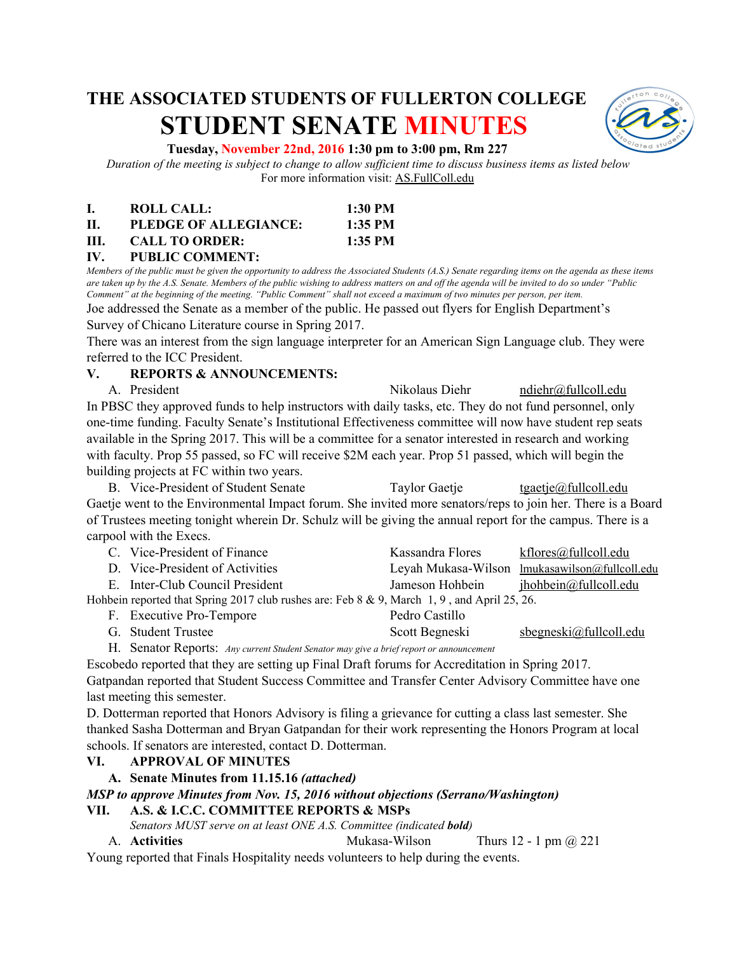# **THE ASSOCIATED STUDENTS OF FULLERTON COLLEGE STUDENT SENATE MINUTES**



#### **Tuesday, November 22nd, 2016 1:30 pm to 3:00 pm, Rm 227**

*Duration of the meeting is subject to change to allow sufficient time to discuss business items as listed below* For more information visit: AS.FullColl.edu

|     | <b>ROLL CALL:</b>     | 1:30 PM   |
|-----|-----------------------|-----------|
| П.  | PLEDGE OF ALLEGIANCE: | $1:35$ PM |
| HL. | <b>CALL TO ORDER:</b> | $1:35$ PM |

# **IV. PUBLIC COMMENT:**

*Members of the public must be given the opportunity to address the Associated Students (A.S.) Senate regarding items on the agenda as these items are taken up by the A.S. Senate. Members of the public wishing to address matters on and off the agenda will be invited to do so under "Public Comment" at the beginning of the meeting. "Public Comment" shall not exceed a maximum of two minutes per person, per item.*

Joe addressed the Senate as a member of the public. He passed out flyers for English Department's Survey of Chicano Literature course in Spring 2017.

There was an interest from the sign language interpreter for an American Sign Language club. They were referred to the ICC President.

#### **V. REPORTS & ANNOUNCEMENTS:**

A. President **A. President** Nikolaus Diehr [ndiehr@fullcoll.edu](mailto:ndiehr@fullcoll.edu) In PBSC they approved funds to help instructors with daily tasks, etc. They do not fund personnel, only one-time funding. Faculty Senate's Institutional Effectiveness committee will now have student rep seats available in the Spring 2017. This will be a committee for a senator interested in research and working with faculty. Prop 55 passed, so FC will receive \$2M each year. Prop 51 passed, which will begin the building projects at FC within two years.

B. Vice-President of Student Senate Taylor Gaetje [tgaetje@fullcoll.edu](mailto:tgaetje@fullcoll.edu) Gaetje went to the Environmental Impact forum. She invited more senators/reps to join her. There is a Board of Trustees meeting tonight wherein Dr. Schulz will be giving the annual report for the campus. There is a carpool with the Execs.

| C. Vice-President of Finance                                                                    | Kassandra Flores | kflores@fullcoll.edu                           |
|-------------------------------------------------------------------------------------------------|------------------|------------------------------------------------|
| D. Vice-President of Activities                                                                 |                  | Leyah Mukasa-Wilson lmukasawilson@fullcoll.edu |
| E. Inter-Club Council President                                                                 | Jameson Hohbein  | <u>ihohbein@fullcoll.edu</u>                   |
| Hohbein reported that Spring 2017 club rushes are: Feb $8 \& 9$ , March 1, 9, and April 25, 26. |                  |                                                |
| F. Executive Pro-Tempore                                                                        | Pedro Castillo   |                                                |

G. Student Trustee Scott Begneski sbegneski@fullcoll.edu

H. Senator Reports: *Any current Student Senator may give a brief report or announcement*

Escobedo reported that they are setting up Final Draft forums for Accreditation in Spring 2017. Gatpandan reported that Student Success Committee and Transfer Center Advisory Committee have one last meeting this semester.

D. Dotterman reported that Honors Advisory is filing a grievance for cutting a class last semester. She thanked Sasha Dotterman and Bryan Gatpandan for their work representing the Honors Program at local schools. If senators are interested, contact D. Dotterman.

# **VI. APPROVAL OF MINUTES**

# **A. Senate Minutes from 11.15.16** *(attached)*

# *MSP to approve Minutes from Nov. 15, 2016 without objections (Serrano/Washington)*

# **VII. A.S. & I.C.C. COMMITTEE REPORTS & MSPs**

- *Senators MUST serve on at least ONE A.S. Committee (indicated bold)*
- A. **Activities** Mukasa-Wilson Thurs 12 1 pm @ 221

Young reported that Finals Hospitality needs volunteers to help during the events.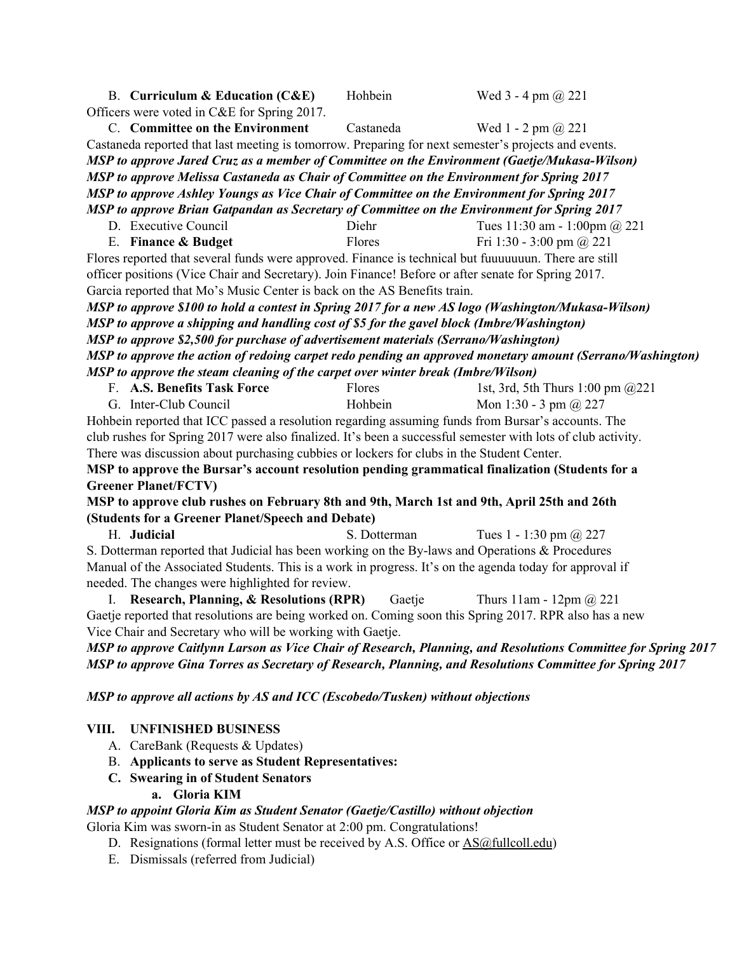| B. Curriculum & Education (C&E)                                                                                      | Hohbein      | Wed $3 - 4$ pm $\omega$ 221          |  |  |  |  |  |
|----------------------------------------------------------------------------------------------------------------------|--------------|--------------------------------------|--|--|--|--|--|
| Officers were voted in C&E for Spring 2017.                                                                          |              |                                      |  |  |  |  |  |
| C. Committee on the Environment                                                                                      | Castaneda    | Wed 1 - 2 pm $\omega$ 221            |  |  |  |  |  |
| Castaneda reported that last meeting is tomorrow. Preparing for next semester's projects and events.                 |              |                                      |  |  |  |  |  |
| MSP to approve Jared Cruz as a member of Committee on the Environment (Gaetje/Mukasa-Wilson)                         |              |                                      |  |  |  |  |  |
| MSP to approve Melissa Castaneda as Chair of Committee on the Environment for Spring 2017                            |              |                                      |  |  |  |  |  |
| MSP to approve Ashley Youngs as Vice Chair of Committee on the Environment for Spring 2017                           |              |                                      |  |  |  |  |  |
| MSP to approve Brian Gatpandan as Secretary of Committee on the Environment for Spring 2017                          |              |                                      |  |  |  |  |  |
| D. Executive Council                                                                                                 | Diehr        | Tues 11:30 am - 1:00pm @ 221         |  |  |  |  |  |
| E. Finance & Budget                                                                                                  | Flores       | Fri 1:30 - 3:00 pm @ 221             |  |  |  |  |  |
| Flores reported that several funds were approved. Finance is technical but fuuuuuuun. There are still                |              |                                      |  |  |  |  |  |
| officer positions (Vice Chair and Secretary). Join Finance! Before or after senate for Spring 2017.                  |              |                                      |  |  |  |  |  |
| Garcia reported that Mo's Music Center is back on the AS Benefits train.                                             |              |                                      |  |  |  |  |  |
| MSP to approve \$100 to hold a contest in Spring 2017 for a new AS logo (Washington/Mukasa-Wilson)                   |              |                                      |  |  |  |  |  |
| MSP to approve a shipping and handling cost of \$5 for the gavel block (Imbre/Washington)                            |              |                                      |  |  |  |  |  |
| MSP to approve \$2,500 for purchase of advertisement materials (Serrano/Washington)                                  |              |                                      |  |  |  |  |  |
| MSP to approve the action of redoing carpet redo pending an approved monetary amount (Serrano/Washington)            |              |                                      |  |  |  |  |  |
| MSP to approve the steam cleaning of the carpet over winter break (Imbre/Wilson)                                     |              |                                      |  |  |  |  |  |
| F. A.S. Benefits Task Force                                                                                          | Flores       | 1st, 3rd, 5th Thurs 1:00 pm @221     |  |  |  |  |  |
| G. Inter-Club Council                                                                                                | Hohbein      | Mon 1:30 - 3 pm $\omega$ 227         |  |  |  |  |  |
| Hohbein reported that ICC passed a resolution regarding assuming funds from Bursar's accounts. The                   |              |                                      |  |  |  |  |  |
| club rushes for Spring 2017 were also finalized. It's been a successful semester with lots of club activity.         |              |                                      |  |  |  |  |  |
| There was discussion about purchasing cubbies or lockers for clubs in the Student Center.                            |              |                                      |  |  |  |  |  |
| MSP to approve the Bursar's account resolution pending grammatical finalization (Students for a                      |              |                                      |  |  |  |  |  |
| <b>Greener Planet/FCTV)</b>                                                                                          |              |                                      |  |  |  |  |  |
| MSP to approve club rushes on February 8th and 9th, March 1st and 9th, April 25th and 26th                           |              |                                      |  |  |  |  |  |
| (Students for a Greener Planet/Speech and Debate)                                                                    |              |                                      |  |  |  |  |  |
| H. Judicial                                                                                                          | S. Dotterman | Tues 1 - 1:30 pm $(a)$ 227           |  |  |  |  |  |
| S. Dotterman reported that Judicial has been working on the By-laws and Operations & Procedures                      |              |                                      |  |  |  |  |  |
| Manual of the Associated Students. This is a work in progress. It's on the agenda today for approval if              |              |                                      |  |  |  |  |  |
| needed. The changes were highlighted for review.                                                                     |              |                                      |  |  |  |  |  |
| I. Research, Planning, & Resolutions (RPR)                                                                           | Gaetje       | Thurs $11$ am - $12$ pm $\omega$ 221 |  |  |  |  |  |
| Gaetje reported that resolutions are being worked on. Coming soon this Spring 2017. RPR also has a new               |              |                                      |  |  |  |  |  |
| Vice Chair and Secretary who will be working with Gaetje.                                                            |              |                                      |  |  |  |  |  |
| <b>MSP to approve Caitlynn Larson as Vice Chair of Research, Planning, and Resolutions Committee for Spring 2017</b> |              |                                      |  |  |  |  |  |
| MSP to approve Gina Torres as Secretary of Research, Planning, and Resolutions Committee for Spring 2017             |              |                                      |  |  |  |  |  |
| MSP to approve all actions by AS and ICC (Escobedo/Tusken) without objections                                        |              |                                      |  |  |  |  |  |
| VIII.<br><b>UNFINISHED BUSINESS</b>                                                                                  |              |                                      |  |  |  |  |  |
| A. CareBank (Requests & Updates)                                                                                     |              |                                      |  |  |  |  |  |
| Applicante to cours on Student Depresentatives<br>D                                                                  |              |                                      |  |  |  |  |  |

- B. **Applicants to serve as Student Representatives:**
- **C. Swearing in of Student Senators**
	- **a. Gloria KIM**

# *MSP to appoint Gloria Kim as Student Senator (Gaetje/Castillo) without objection*

Gloria Kim was sworn-in as Student Senator at 2:00 pm. Congratulations!

- D. Resignations (formal letter must be received by A.S. Office or [AS@fullcoll.edu\)](mailto:AS@fullcoll.edu)
- E. Dismissals (referred from Judicial)